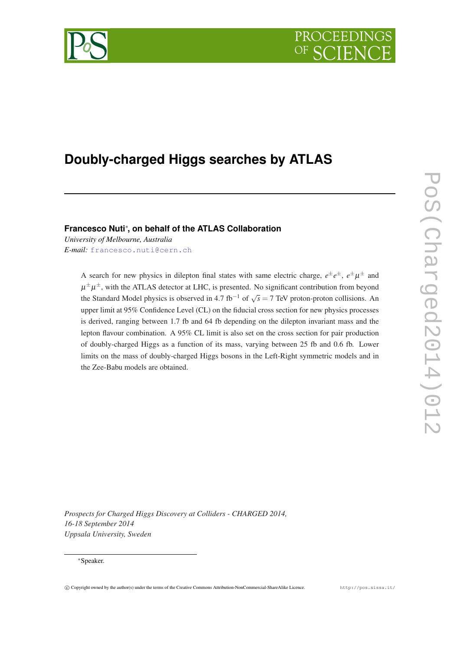

# **Doubly-charged Higgs searches by ATLAS**

# **Francesco Nuti**<sup>∗</sup> **, on behalf of the ATLAS Collaboration**

*University of Melbourne, Australia E-mail:* [francesco.nuti@cern.ch](mailto:francesco.nuti@cern.ch)

> A search for new physics in dilepton final states with same electric charge,  $e^{\pm}e^{\pm}$ ,  $e^{\pm}\mu^{\pm}$  and  $\mu^{\pm}\mu^{\pm}$ , with the ATLAS detector at LHC, is presented. No significant contribution from beyond the Standard Model physics is observed in 4.7 fb<sup>-1</sup> of  $\sqrt{s} = 7$  TeV proton-proton collisions. An upper limit at 95% Confidence Level (CL) on the fiducial cross section for new physics processes is derived, ranging between 1.7 fb and 64 fb depending on the dilepton invariant mass and the lepton flavour combination. A 95% CL limit is also set on the cross section for pair production of doubly-charged Higgs as a function of its mass, varying between 25 fb and 0.6 fb. Lower limits on the mass of doubly-charged Higgs bosons in the Left-Right symmetric models and in the Zee-Babu models are obtained.

*Prospects for Charged Higgs Discovery at Colliders - CHARGED 2014, 16-18 September 2014 Uppsala University, Sweden*

# <sup>∗</sup>Speaker.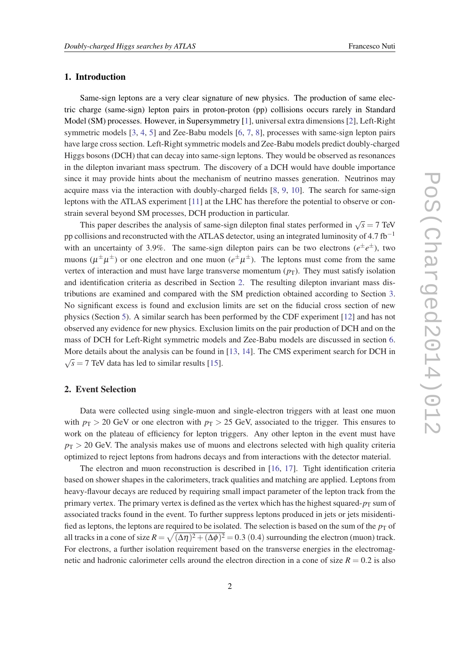# 1. Introduction

Same-sign leptons are a very clear signature of new physics. The production of same electric charge (same-sign) lepton pairs in proton-proton (pp) collisions occurs rarely in Standard Model (SM) processes. However, in Supersymmetry [\[1\]](#page-6-0), universal extra dimensions [[2](#page-6-0)], Left-Right symmetric models [[3](#page-6-0), [4](#page-6-0), [5\]](#page-6-0) and Zee-Babu models [\[6,](#page-6-0) [7,](#page-6-0) [8](#page-6-0)], processes with same-sign lepton pairs have large cross section. Left-Right symmetric models and Zee-Babu models predict doubly-charged Higgs bosons (DCH) that can decay into same-sign leptons. They would be observed as resonances in the dilepton invariant mass spectrum. The discovery of a DCH would have double importance since it may provide hints about the mechanism of neutrino masses generation. Neutrinos may acquire mass via the interaction with doubly-charged fields [\[8,](#page-6-0) [9,](#page-6-0) [10\]](#page-6-0). The search for same-sign leptons with the ATLAS experiment [[11\]](#page-6-0) at the LHC has therefore the potential to observe or constrain several beyond SM processes, DCH production in particular.

This paper describes the analysis of same-sign dilepton final states performed in  $\sqrt{s} = 7$  TeV pp collisions and reconstructed with the ATLAS detector, using an integrated luminosity of 4.7 fb<sup>-1</sup> with an uncertainty of 3.9%. The same-sign dilepton pairs can be two electrons  $(e^{\pm}e^{\pm})$ , two muons ( $\mu^{\pm}\mu^{\pm}$ ) or one electron and one muon ( $e^{\pm}\mu^{\pm}$ ). The leptons must come from the same vertex of interaction and must have large transverse momentum  $(p_T)$ . They must satisfy isolation and identification criteria as described in Section 2. The resulting dilepton invariant mass distributions are examined and compared with the SM prediction obtained according to Section [3](#page-2-0). No significant excess is found and exclusion limits are set on the fiducial cross section of new physics (Section [5](#page-3-0)). A similar search has been performed by the CDF experiment [[12\]](#page-6-0) and has not observed any evidence for new physics. Exclusion limits on the pair production of DCH and on the mass of DCH for Left-Right symmetric models and Zee-Babu models are discussed in section [6](#page-4-0). More details about the analysis can be found in [[13](#page-6-0), [14\]](#page-6-0). The CMS experiment search for DCH in √  $\overline{s}$  = 7 TeV data has led to similar results [[15\]](#page-6-0).

#### 2. Event Selection

Data were collected using single-muon and single-electron triggers with at least one muon with  $p_T > 20$  GeV or one electron with  $p_T > 25$  GeV, associated to the trigger. This ensures to work on the plateau of efficiency for lepton triggers. Any other lepton in the event must have  $p_T$  > 20 GeV. The analysis makes use of muons and electrons selected with high quality criteria optimized to reject leptons from hadrons decays and from interactions with the detector material.

The electron and muon reconstruction is described in [[16,](#page-6-0) [17](#page-6-0)]. Tight identification criteria based on shower shapes in the calorimeters, track qualities and matching are applied. Leptons from heavy-flavour decays are reduced by requiring small impact parameter of the lepton track from the primary vertex. The primary vertex is defined as the vertex which has the highest squared- $p_T$  sum of associated tracks found in the event. To further suppress leptons produced in jets or jets misidentified as leptons, the leptons are required to be isolated. The selection is based on the sum of the  $p<sub>T</sub>$  of all tracks in a cone of size  $R = \sqrt{(\Delta \eta)^2 + (\Delta \phi)^2} = 0.3$  (0.4) surrounding the electron (muon) track. For electrons, a further isolation requirement based on the transverse energies in the electromagnetic and hadronic calorimeter cells around the electron direction in a cone of size  $R = 0.2$  is also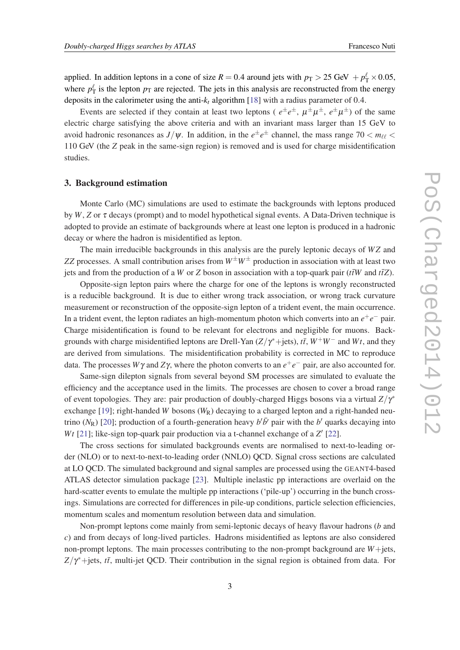<span id="page-2-0"></span>applied. In addition leptons in a cone of size  $R = 0.4$  around jets with  $p_T > 25$  GeV  $+ p_T^{\ell} \times 0.05$ , where  $p_T^{\ell}$  is the lepton  $p_T$  are rejected. The jets in this analysis are reconstructed from the energy deposits in the calorimeter using the anti-*k<sup>t</sup>* algorithm [\[18](#page-6-0)] with a radius parameter of 0.4.

Events are selected if they contain at least two leptons ( $e^{\pm}e^{\pm}$ ,  $\mu^{\pm}\mu^{\pm}$ ,  $e^{\pm}\mu^{\pm}$ ) of the same electric charge satisfying the above criteria and with an invariant mass larger than 15 GeV to avoid hadronic resonances as  $J/\psi$ . In addition, in the  $e^{\pm}e^{\pm}$  channel, the mass range 70  $<$   $m_{\ell\ell}$   $<$ 110 GeV (the *Z* peak in the same-sign region) is removed and is used for charge misidentification studies.

# 3. Background estimation

Monte Carlo (MC) simulations are used to estimate the backgrounds with leptons produced by  $W$ ,  $Z$  or  $\tau$  decays (prompt) and to model hypothetical signal events. A Data-Driven technique is adopted to provide an estimate of backgrounds where at least one lepton is produced in a hadronic decay or where the hadron is misidentified as lepton.

The main irreducible backgrounds in this analysis are the purely leptonic decays of *WZ* and *ZZ* processes. A small contribution arises from  $W^{\pm}W^{\pm}$  production in association with at least two jets and from the production of a *W* or *Z* boson in association with a top-quark pair ( $t\bar{t}W$  and  $t\bar{t}Z$ ).

Opposite-sign lepton pairs where the charge for one of the leptons is wrongly reconstructed is a reducible background. It is due to either wrong track association, or wrong track curvature measurement or reconstruction of the opposite-sign lepton of a trident event, the main occurrence. In a trident event, the lepton radiates an high-momentum photon which converts into an *e* +*e* <sup>−</sup> pair. Charge misidentification is found to be relevant for electrons and negligible for muons. Backgrounds with charge misidentified leptons are Drell-Yan  $(Z/\gamma^* + \text{jets})$ ,  $t\bar{t}$ ,  $W^+W^-$  and  $Wt$ , and they are derived from simulations. The misidentification probability is corrected in MC to reproduce data. The processes  $W\gamma$  and  $Z\gamma$ , where the photon converts to an  $e^+e^-$  pair, are also accounted for.

Same-sign dilepton signals from several beyond SM processes are simulated to evaluate the efficiency and the acceptance used in the limits. The processes are chosen to cover a broad range of event topologies. They are: pair production of doubly-charged Higgs bosons via a virtual  $Z/\gamma^*$ exchange [[19\]](#page-6-0); right-handed *W* bosons  $(W_R)$  decaying to a charged lepton and a right-handed neutrino ( $N_R$ ) [\[20](#page-6-0)]; production of a fourth-generation heavy  $b^{\prime}b^{\prime}$  pair with the  $b^{\prime}$  quarks decaying into Wt [\[21\]](#page-7-0); like-sign top-quark pair production via a t-channel exchange of a *Z'* [[22\]](#page-7-0).

The cross sections for simulated backgrounds events are normalised to next-to-leading order (NLO) or to next-to-next-to-leading order (NNLO) QCD. Signal cross sections are calculated at LO QCD. The simulated background and signal samples are processed using the GEANT4-based ATLAS detector simulation package [[23\]](#page-7-0). Multiple inelastic pp interactions are overlaid on the hard-scatter events to emulate the multiple pp interactions ('pile-up') occurring in the bunch crossings. Simulations are corrected for differences in pile-up conditions, particle selection efficiencies, momentum scales and momentum resolution between data and simulation.

Non-prompt leptons come mainly from semi-leptonic decays of heavy flavour hadrons (*b* and *c*) and from decays of long-lived particles. Hadrons misidentified as leptons are also considered non-prompt leptons. The main processes contributing to the non-prompt background are *W*+jets,  $Z/\gamma^*$ +jets, *tt*<sup>†</sup>, multi-jet QCD. Their contribution in the signal region is obtained from data. For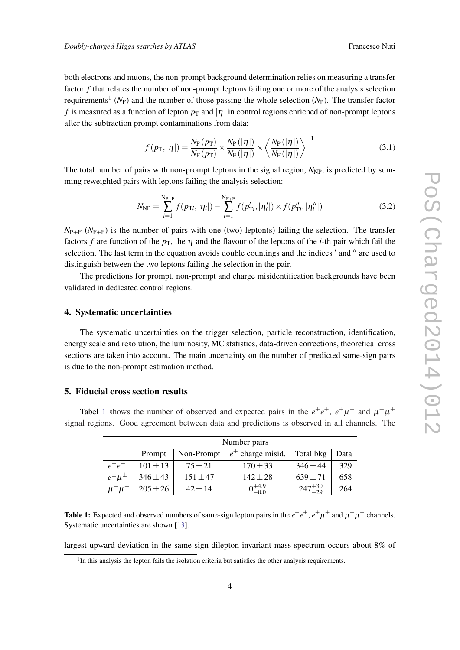<span id="page-3-0"></span>both electrons and muons, the non-prompt background determination relies on measuring a transfer factor *f* that relates the number of non-prompt leptons failing one or more of the analysis selection requirements<sup>1</sup> (N<sub>F</sub>) and the number of those passing the whole selection (N<sub>P</sub>). The transfer factor *f* is measured as a function of lepton  $p_T$  and  $|\eta|$  in control regions enriched of non-prompt leptons after the subtraction prompt contaminations from data:

$$
f(p_T, |\eta|) = \frac{N_P(p_T)}{N_F(p_T)} \times \frac{N_P(|\eta|)}{N_F(|\eta|)} \times \left\langle \frac{N_P(|\eta|)}{N_F(|\eta|)} \right\rangle^{-1}
$$
(3.1)

The total number of pairs with non-prompt leptons in the signal region,  $N_{NP}$ , is predicted by summing reweighted pairs with leptons failing the analysis selection:

$$
N_{\rm NP} = \sum_{i=1}^{\rm N_{\rm P+F}} f(p_{\rm Ti}, |\eta_i|) - \sum_{i=1}^{\rm N_{\rm F+F}} f(p'_{\rm Ti}, |\eta'_i|) \times f(p''_{\rm Ti}, |\eta''_i|)
$$
(3.2)

 $N_{\text{P+F}}$  ( $N_{\text{F+F}}$ ) is the number of pairs with one (two) lepton(s) failing the selection. The transfer factors *f* are function of the  $p<sub>T</sub>$ , the  $\eta$  and the flavour of the leptons of the *i*-th pair which fail the selection. The last term in the equation avoids double countings and the indices ' and " are used to distinguish between the two leptons failing the selection in the pair.

The predictions for prompt, non-prompt and charge misidentification backgrounds have been validated in dedicated control regions.

#### 4. Systematic uncertainties

The systematic uncertainties on the trigger selection, particle reconstruction, identification, energy scale and resolution, the luminosity, MC statistics, data-driven corrections, theoretical cross sections are taken into account. The main uncertainty on the number of predicted same-sign pairs is due to the non-prompt estimation method.

#### 5. Fiducial cross section results

Tabel 1 shows the number of observed and expected pairs in the  $e^{\pm}e^{\pm}$ ,  $e^{\pm}\mu^{\pm}$  and  $\mu^{\pm}\mu^{\pm}$ signal regions. Good agreement between data and predictions is observed in all channels. The

|                       | Number pairs |              |                                         |                   |      |
|-----------------------|--------------|--------------|-----------------------------------------|-------------------|------|
|                       | Prompt       |              | Non-Prompt $\mid e^{\pm}$ charge misid. | Total bkg         | Data |
| $e^{\pm}e^{\pm}$      | $101 \pm 13$ | $75 + 21$    | $170 \pm 33$                            | $346 \pm 44$      | 329  |
| $e^{\pm} \mu^{\pm}$   | $346 \pm 43$ | $151 \pm 47$ | $142 \pm 28$                            | $639 \pm 71$      | 658  |
| $\mu^{\pm} \mu^{\pm}$ | $205 \pm 26$ | $42 \pm 14$  | $0^{+4.9}_{-0.0}$                       | $247^{+30}_{-29}$ | 264  |

Table 1: Expected and observed numbers of same-sign lepton pairs in the  $e^\pm e^\pm$ ,  $e^\pm \mu^\pm$  and  $\mu^\pm \mu^\pm$  channels. Systematic uncertainties are shown [\[13](#page-6-0)].

largest upward deviation in the same-sign dilepton invariant mass spectrum occurs about 8% of

<sup>&</sup>lt;sup>1</sup>In this analysis the lepton fails the isolation criteria but satisfies the other analysis requirements.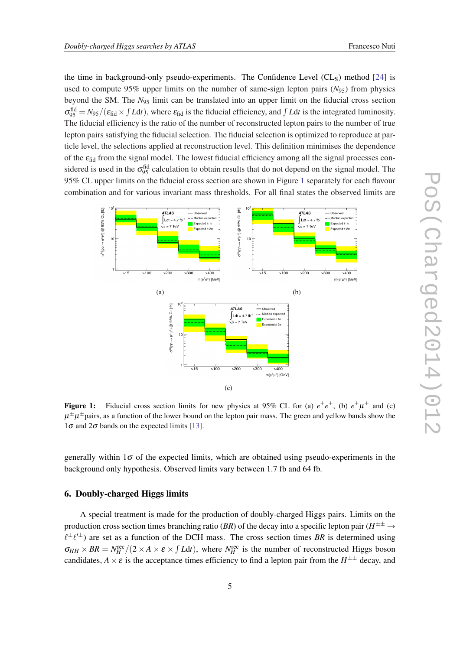<span id="page-4-0"></span>the time in background-only pseudo-experiments. The Confidence Level  $(CL<sub>S</sub>)$  method [\[24](#page-7-0)] is used to compute 95% upper limits on the number of same-sign lepton pairs  $(N_{95})$  from physics beyond the SM. The *N*<sup>95</sup> limit can be translated into an upper limit on the fiducial cross section  $\sigma_{95}^{\text{fid}} = N_{95}/(\varepsilon_{\text{fid}} \times \int Ldt)$ , where  $\varepsilon_{\text{fid}}$  is the fiducial efficiency, and  $\int Ldt$  is the integrated luminosity. The fiducial efficiency is the ratio of the number of reconstructed lepton pairs to the number of true lepton pairs satisfying the fiducial selection. The fiducial selection is optimized to reproduce at particle level, the selections applied at reconstruction level. This definition minimises the dependence of the  $\varepsilon_{\text{fid}}$  from the signal model. The lowest fiducial efficiency among all the signal processes considered is used in the  $\sigma_{95}^{\text{fid}}$  calculation to obtain results that do not depend on the signal model. The 95% CL upper limits on the fiducial cross section are shown in Figure 1 separately for each flavour combination and for various invariant mass thresholds. For all final states the observed limits are



**Figure 1:** Fiducial cross section limits for new physics at 95% CL for (a)  $e^{\pm}e^{\pm}$ , (b)  $e^{\pm}\mu^{\pm}$  and (c)  $\mu^\pm\mu^\pm$ pairs, as a function of the lower bound on the lepton pair mass. The green and yellow bands show the  $1\sigma$  and  $2\sigma$  bands on the expected limits [\[13](#page-6-0)].

generally within  $1\sigma$  of the expected limits, which are obtained using pseudo-experiments in the background only hypothesis. Observed limits vary between 1.7 fb and 64 fb.

# 6. Doubly-charged Higgs limits

A special treatment is made for the production of doubly-charged Higgs pairs. Limits on the production cross section times branching ratio (*BR*) of the decay into a specific lepton pair ( $H^{\pm\pm} \to$  $\ell^{\pm}$  $\ell'^{\pm}$ ) are set as a function of the DCH mass. The cross section times *BR* is determined using  $\sigma_{HH} \times BR = N_H^{\text{rec}}/(2 \times A \times \varepsilon \times \int L dt)$ , where  $N_H^{\text{rec}}$  is the number of reconstructed Higgs boson candidates,  $A \times \varepsilon$  is the acceptance times efficiency to find a lepton pair from the  $H^{\pm\pm}$  decay, and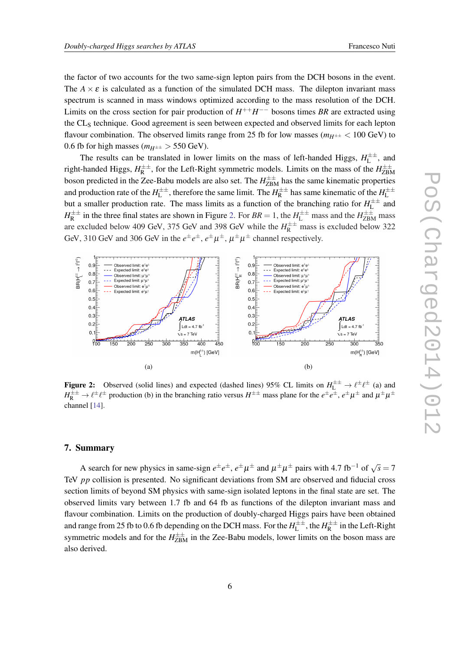the factor of two accounts for the two same-sign lepton pairs from the DCH bosons in the event. The  $A \times \varepsilon$  is calculated as a function of the simulated DCH mass. The dilepton invariant mass spectrum is scanned in mass windows optimized according to the mass resolution of the DCH. Limits on the cross section for pair production of  $H^{++}H^{--}$  bosons times BR are extracted using the CL<sub>S</sub> technique. Good agreement is seen between expected and observed limits for each lepton flavour combination. The observed limits range from 25 fb for low masses ( $m_{H^{\pm\pm}}$  < 100 GeV) to 0.6 fb for high masses ( $m_{H^{\pm\pm}} > 550$  GeV).

The results can be translated in lower limits on the mass of left-handed Higgs,  $H<sub>L</sub><sup>±±</sup>$  $L^{\pm\pm}$ , and right-handed Higgs, *H* ±±  $R^{\pm\pm}$ , for the Left-Right symmetric models. Limits on the mass of the  $H_{\rm ZBN}^{\pm\pm}$ ZBM boson predicted in the Zee-Babu models are also set. The  $H_{\rm ZBM}^{\pm\pm}$  has the same kinematic properties and production rate of the  $H<sub>L</sub><sup>\pm\pm</sup>$  $L^{\pm\pm}$ , therefore the same limit. The  $H^{\pm\pm}_R$  $H_R^{\pm\pm}$  has same kinematic of the  $H_L^{\pm\pm}$ L but a smaller production rate. The mass limits as a function of the branching ratio for  $H<sub>L</sub><sup>±</sup>$  $L^{\pm\pm}$  and  $H^{\pm\pm}_{\text{R}}$  $R^{\pm\pm}$  in the three final states are shown in Figure 2. For  $BR = 1$ , the  $H^{\pm\pm}$  mass and the  $H^{\pm\pm}$  mass are excluded below 409 GeV, 375 GeV and 398 GeV while the  $H_R^{\pm\pm}$  mass is excluded below 322 GeV, 310 GeV and 306 GeV in the  $e^{\pm}e^{\pm}$ ,  $e^{\pm}\mu^{\pm}$ ,  $\mu^{\pm}\mu^{\pm}$  channel respectively.



**Figure 2:** Observed (solid lines) and expected (dashed lines) 95% CL limits on  $H_L^{\pm \pm} \to \ell^{\pm} \ell^{\pm}$  (a) and  $H_R^{\pm\pm} \to \ell^{\pm} \ell^{\pm}$  production (b) in the branching ratio versus  $H^{\pm\pm}$  mass plane for the  $e^{\pm}e^{\pm}$ ,  $e^{\pm}\mu^{\pm}$  and  $\mu^{\pm}\mu^{\pm}$ channel [\[14](#page-6-0)].

## 7. Summary

A search for new physics in same-sign  $e^{\pm}e^{\pm}$ ,  $e^{\pm}\mu^{\pm}$  and  $\mu^{\pm}\mu^{\pm}$  pairs with 4.7 fb<sup>-1</sup> of  $\sqrt{s} = 7$ TeV *pp* collision is presented. No significant deviations from SM are observed and fiducial cross section limits of beyond SM physics with same-sign isolated leptons in the final state are set. The observed limits vary between 1.7 fb and 64 fb as functions of the dilepton invariant mass and flavour combination. Limits on the production of doubly-charged Higgs pairs have been obtained and range from 25 fb to 0.6 fb depending on the DCH mass. For the  $H^{\pm\pm}_L$  $L^{\pm\pm}$ , the  $H^{\pm\pm}_R$  $\int_{R}^{\pm\pm}$  in the Left-Right symmetric models and for the  $H_{\rm ZBM}^{\pm\pm}$  in the Zee-Babu models, lower limits on the boson mass are also derived.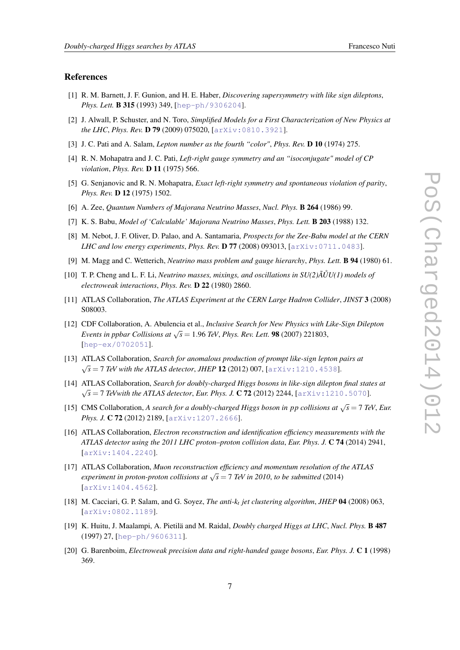#### <span id="page-6-0"></span>References

- [1] R. M. Barnett, J. F. Gunion, and H. E. Haber, *Discovering supersymmetry with like sign dileptons*, *Phys. Lett.* B 315 (1993) 349, [[hep-ph/9306204](http://xxx.lanl.gov/abs/hep-ph/9306204)].
- [2] J. Alwall, P. Schuster, and N. Toro, *Simplified Models for a First Characterization of New Physics at the LHC*, *Phys. Rev.* D 79 (2009) 075020, [[arXiv:0810.3921](http://xxx.lanl.gov/abs/0810.3921)].
- [3] J. C. Pati and A. Salam, *Lepton number as the fourth "color"*, *Phys. Rev.* D 10 (1974) 275.
- [4] R. N. Mohapatra and J. C. Pati, *Left-right gauge symmetry and an "isoconjugate" model of CP violation*, *Phys. Rev.* D 11 (1975) 566.
- [5] G. Senjanovic and R. N. Mohapatra, *Exact left-right symmetry and spontaneous violation of parity*, *Phys. Rev.* D 12 (1975) 1502.
- [6] A. Zee, *Quantum Numbers of Majorana Neutrino Masses*, *Nucl. Phys.* B 264 (1986) 99.
- [7] K. S. Babu, *Model of 'Calculable' Majorana Neutrino Masses*, *Phys. Lett.* B 203 (1988) 132.
- [8] M. Nebot, J. F. Oliver, D. Palao, and A. Santamaria, *Prospects for the Zee-Babu model at the CERN LHC and low energy experiments*, *Phys. Rev.* D 77 (2008) 093013, [[arXiv:0711.0483](http://xxx.lanl.gov/abs/0711.0483)].
- [9] M. Magg and C. Wetterich, *Neutrino mass problem and gauge hierarchy*, *Phys. Lett.* B 94 (1980) 61.
- [10] T. P. Cheng and L. F. Li, *Neutrino masses, mixings, and oscillations in*  $SU(2)\tilde{A} \tilde{U} U(1)$  *models of electroweak interactions*, *Phys. Rev.* D 22 (1980) 2860.
- [11] ATLAS Collaboration, *The ATLAS Experiment at the CERN Large Hadron Collider*, *JINST* 3 (2008) S08003.
- [12] CDF Collaboration, A. Abulencia et al., *Inclusive Search for New Physics with Like-Sign Dilepton Events in ppbar Collisions at* <sup>√</sup> *s* = 1.96 *TeV*, *Phys. Rev. Lett.* 98 (2007) 221803, [[hep-ex/0702051](http://xxx.lanl.gov/abs/hep-ex/0702051)].
- [13] ATLAS Collaboration, *Search for anomalous production of prompt like-sign lepton pairs at*  $\sqrt{s}$  = 7 *TeV with the ATLAS detector, JHEP* 12 (2012) 007, [[arXiv:1210.4538](http://xxx.lanl.gov/abs/1210.4538)].
- [14] ATLAS Collaboration, *Search for doubly-charged Higgs bosons in like-sign dilepton final states at* √  $\sqrt{s}$  = 7 *TeVwith the ATLAS detector, Eur. Phys. J.* **C 72** (2012) 2244,  $\lceil a \rceil x \leq s \leq 1210.5070 \rceil$ .
- [15] CMS Collaboration, *A search for a doubly-charged Higgs boson in pp collisions at*  $\sqrt{s} = 7$  *TeV, Eur. Phys. J.* C 72 (2012) 2189, [[arXiv:1207.2666](http://xxx.lanl.gov/abs/1207.2666)].
- [16] ATLAS Collaboration, *Electron reconstruction and identification efficiency measurements with the ATLAS detector using the 2011 LHC proton–proton collision data*, *Eur. Phys. J.* C 74 (2014) 2941, [[arXiv:1404.2240](http://xxx.lanl.gov/abs/1404.2240)].
- [17] ATLAS Collaboration, *Muon reconstruction efficiency and momentum resolution of the ATLAS experiment in proton-proton collisions at*  $\sqrt{s} = 7$  *TeV in 2010, to be submitted* (2014) [[arXiv:1404.4562](http://xxx.lanl.gov/abs/1404.4562)].
- [18] M. Cacciari, G. P. Salam, and G. Soyez, *The anti-k<sup>t</sup> jet clustering algorithm*, *JHEP* 04 (2008) 063, [[arXiv:0802.1189](http://xxx.lanl.gov/abs/0802.1189)].
- [19] K. Huitu, J. Maalampi, A. Pietilä and M. Raidal, *Doubly charged Higgs at LHC*, *Nucl. Phys.* B 487 (1997) 27, [[hep-ph/9606311](http://xxx.lanl.gov/abs/hep-ph/9606311)].
- [20] G. Barenboim, *Electroweak precision data and right-handed gauge bosons*, *Eur. Phys. J.* C 1 (1998) 369.